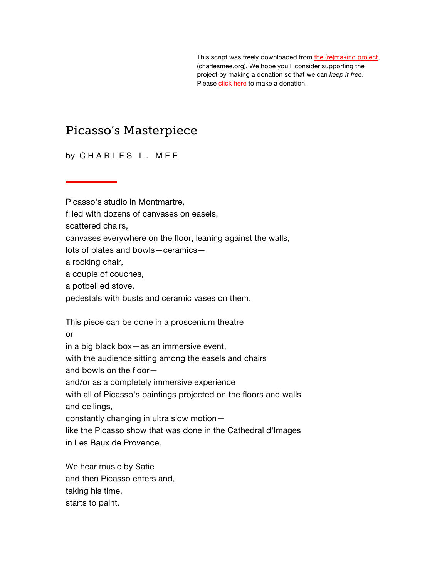This script was freely downloaded fro[m the \(re\)making project,](http://www.charlesmee.org/)  (charlesmee.org). We hope you'll consider supporting the project by making a donation so that we can *keep it free*. Pleas[e click here](http://www.charlesmee.org/support-the-project.shtml) to make a donation.

# Picasso's Masterpiece

by CHARLES L. MEE

Picasso's studio in Montmartre,

filled with dozens of canvases on easels,

scattered chairs,

canvases everywhere on the floor, leaning against the walls,

lots of plates and bowls—ceramics—

a rocking chair,

a couple of couches,

a potbellied stove,

pedestals with busts and ceramic vases on them.

This piece can be done in a proscenium theatre

or

in a big black box—as an immersive event,

with the audience sitting among the easels and chairs

and bowls on the floor—

and/or as a completely immersive experience

with all of Picasso's paintings projected on the floors and walls and ceilings,

constantly changing in ultra slow motion—

like the Picasso show that was done in the Cathedral d'Images in Les Baux de Provence.

We hear music by Satie and then Picasso enters and, taking his time, starts to paint.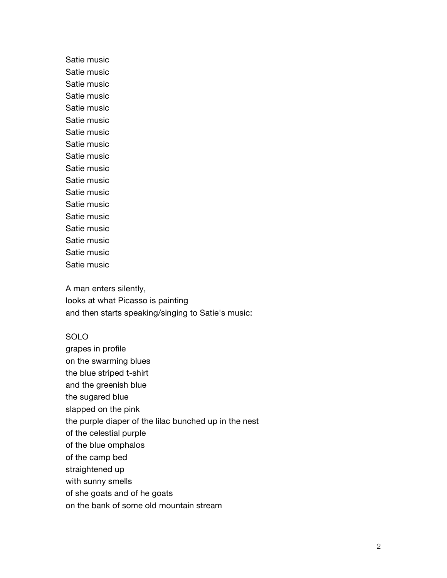Satie music Satie music Satie music Satie music Satie music Satie music Satie music Satie music Satie music Satie music Satie music Satie music Satie music Satie music Satie music Satie music Satie music Satie music

A man enters silently, looks at what Picasso is painting and then starts speaking/singing to Satie's music:

#### SOLO

grapes in profile on the swarming blues the blue striped t-shirt and the greenish blue the sugared blue slapped on the pink the purple diaper of the lilac bunched up in the nest of the celestial purple of the blue omphalos of the camp bed straightened up with sunny smells of she goats and of he goats on the bank of some old mountain stream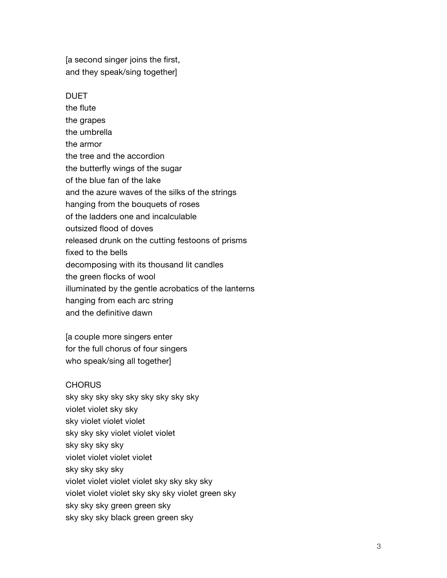[a second singer joins the first, and they speak/sing together]

#### **DUET**

the flute the grapes the umbrella the armor the tree and the accordion the butterfly wings of the sugar of the blue fan of the lake and the azure waves of the silks of the strings hanging from the bouquets of roses of the ladders one and incalculable outsized flood of doves released drunk on the cutting festoons of prisms fixed to the bells decomposing with its thousand lit candles the green flocks of wool illuminated by the gentle acrobatics of the lanterns hanging from each arc string and the definitive dawn

[a couple more singers enter for the full chorus of four singers who speak/sing all together]

#### **CHORUS**

sky sky sky sky sky sky sky sky sky violet violet sky sky sky violet violet violet sky sky sky violet violet violet sky sky sky sky violet violet violet violet sky sky sky sky violet violet violet violet sky sky sky sky violet violet violet sky sky sky violet green sky sky sky sky green green sky sky sky sky black green green sky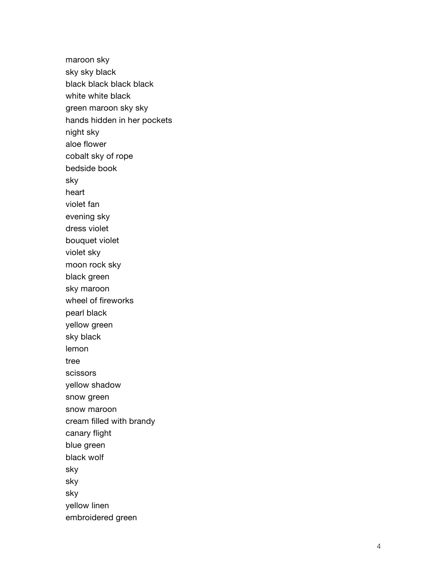maroon sky sky sky black black black black black white white black green maroon sky sky hands hidden in her pockets night sky aloe flower cobalt sky of rope bedside book sky heart violet fan evening sky dress violet bouquet violet violet sky moon rock sky black green sky maroon wheel of fireworks pearl black yellow green sky black lemon tree scissors yellow shadow snow green snow maroon cream filled with brand y canary flight blue green black wolf sky sky sky yellow linen embroidered green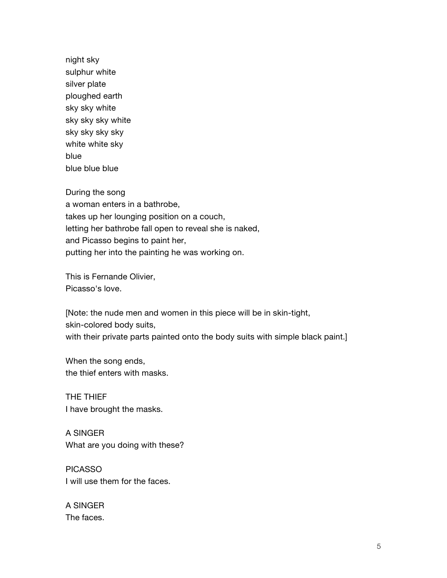night sky sulphur white silver plate ploughed earth sky sky white sky sky sky white sky sky sky sky white white sky blue blue blue blue

During the song

a woman enters in a bathrobe, takes up her lounging position on a couch, letting her bathrobe fall open to reveal she is naked, and Picasso begins to paint her, putting her into the painting he was working on.

This is Fernande Olivier, Picasso's love.

[Note: the nude men and women in this piece will be in skin-tight, skin-colored body suits, with their private parts painted onto the body suits with simple black paint.]

When the song ends, the thief enters with masks.

THE THIEF I have brought the masks.

A SINGER What are you doing with these?

PICASSO I will use them for the faces.

A SINGER The faces.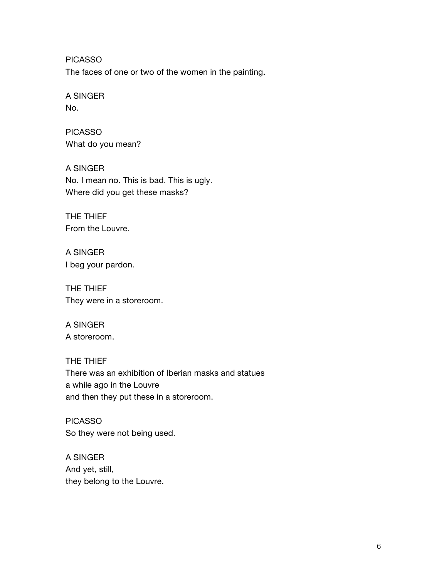PICASSO

The faces of one or two of the women in the painting.

# A SINGER

No.

# PICASSO What do you mean?

A SINGER No. I mean no. This is bad. This is ugly. Where did you get these masks?

THE THIEF From the Louvre.

A SINGER I beg your pardon.

THE THIEF They were in a storeroom.

## A SINGER A storeroom.

# THE THIEF There was an exhibition of Iberian masks and statues a while ago in the Louvre and then they put these in a storeroom.

PICASSO So they were not being used.

A SINGER And yet, still, they belong to the Louvre.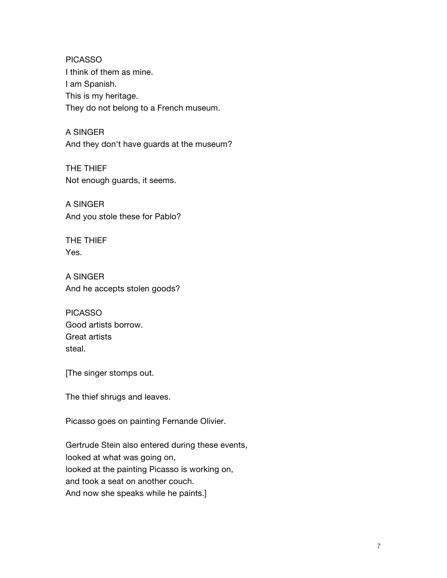PICASSO I think of them as mine. I am Spanish. This is my heritage. They do not belong to a French museum.

A SINGER And they don't have guards at the museum?

THE THIEF Not enough guards, it seems.

A SINGER And you stole these for Pablo?

THE THIEF Yes.

A SINGER And he accepts stolen goods?

PICASSO Good artists borrow. Great artists steal.

[The singer stomps out.

The thief shrugs and leaves.

Picasso goes on painting Fernande Olivier.

Gertrude Stein also entered during these events, looked at what was going on, looked at the painting Picasso is working on, and took a seat on another couch. And now she speaks while he paints.]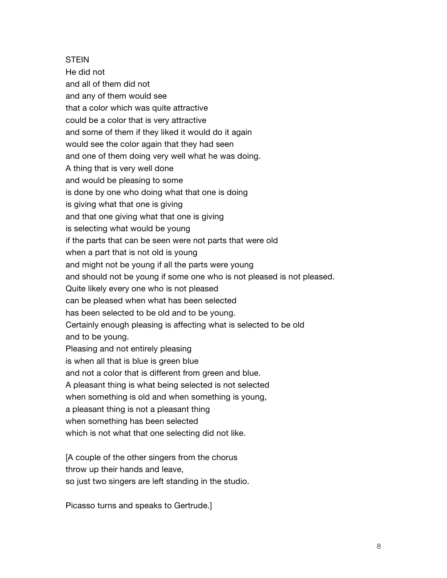**STEIN** He did not and all of them did not and any of them would see that a color which was quite attractive could be a color that is very attractive and some of them if they liked it would do it again would see the color again that they had seen and one of them doing very well what he was doing. A thing that is very well done and would be pleasing to some is done by one who doing what that one is doing is giving what that one is giving and that one giving what that one is giving is selecting what would be young if the parts that can be seen were not parts that were old when a part that is not old is young and might not be young if all the parts were young and should not be young if some one who is not pleased is not pleased. Quite likely every one who is not pleased can be pleased when what has been selected has been selected to be old and to be young. Certainly enough pleasing is affecting what is selected to be old and to be young. Pleasing and not entirely pleasing is when all that is blue is green blue and not a color that is different from green and blue. A pleasant thing is what being selected is not selected when something is old and when something is young, a pleasant thing is not a pleasant thing when something has been selected

which is not what that one selecting did not like.

[A couple of the other singers from the chorus throw up their hands and leave, so just two singers are left standing in the studio.

Picasso turns and speaks to Gertrude.]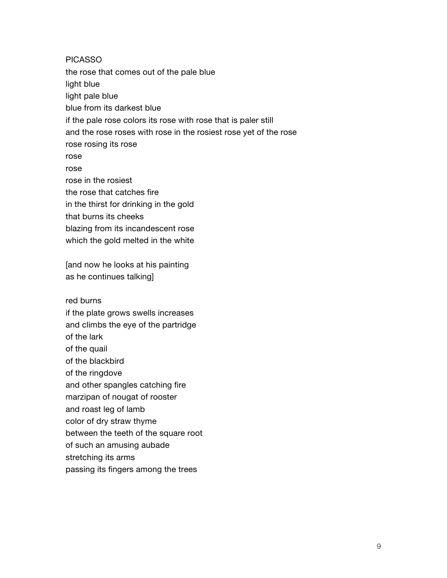PICASSO the rose that comes out of the pale blue light blue light pale blue blue from its darkest blue if the pale rose colors its rose with rose that is paler still and the rose roses with rose in the rosiest rose yet of the rose rose rosing its rose rose rose rose in the rosiest the rose that catches fire in the thirst for drinking in the gold that burns its cheeks blazing from its incandescent rose which the gold melted in the white [and now he looks at his painting as he continues talking] red burns if the plate grows swells increases and climbs the eye of the partridge of the lark of the quail

of the blackbird of the ringdove and other spangles catching fire marzipan of nougat of rooster and roast leg of lamb color of dry straw thyme between the teeth of the square root of such an amusing aubade stretching its arms

passing its fingers among the trees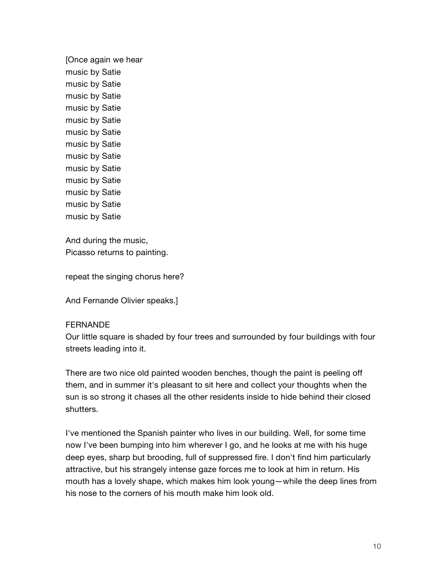[Once again we hear music by Satie music by Satie music by Satie music by Satie music by Satie music by Satie music by Satie music by Satie music by Satie music by Satie music by Satie music by Satie music by Satie

And during the music, Picasso returns to painting.

repeat the singing chorus here?

And Fernande Olivier speaks.]

#### FERNANDE

Our little square is shaded by four trees and surrounded by four buildings with four streets leading into it.

There are two nice old painted wooden benches, though the paint is peeling off them, and in summer it's pleasant to sit here and collect your thoughts when the sun is so strong it chases all the other residents inside to hide behind their closed shutters.

I've mentioned the Spanish painter who lives in our building. Well, for some time now I've been bumping into him wherever I go, and he looks at me with his huge deep eyes, sharp but brooding, full of suppressed fire. I don't find him particularly attractive, but his strangely intense gaze forces me to look at him in return. His mouth has a lovely shape, which makes him look young—while the deep lines from his nose to the corners of his mouth make him look old.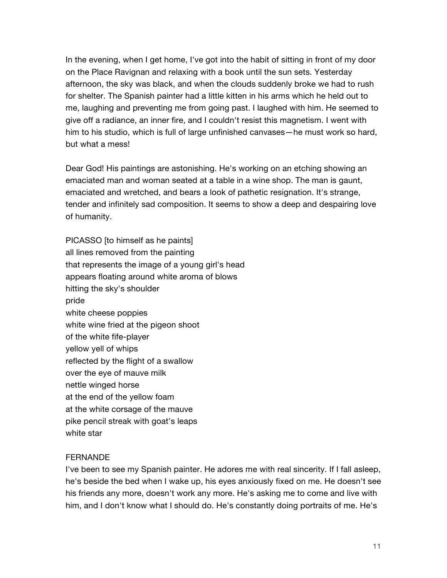In the evening, when I get home, I've got into the habit of sitting in front of my door on the Place Ravignan and relaxing with a book until the sun sets. Yesterday afternoon, the sky was black, and when the clouds suddenly broke we had to rush for shelter. The Spanish painter had a little kitten in his arms which he held out to me, laughing and preventing me from going past. I laughed with him. He seemed to give off a radiance, an inner fire, and I couldn't resist this magnetism. I went with him to his studio, which is full of large unfinished canvases—he must work so hard, but what a mess!

Dear God! His paintings are astonishing. He's working on an etching showing an emaciated man and woman seated at a table in a wine shop. The man is gaunt, emaciated and wretched, and bears a look of pathetic resignation. It's strange, tender and infinitely sad composition. It seems to show a deep and despairing love of humanity.

PICASSO [to himself as he paints] all lines removed from the painting that represents the image of a young girl's head appears floating around white aroma of blows hitting the sky's shoulder pride white cheese poppies white wine fried at the pigeon shoot of the white fife-player yellow yell of whips reflected by the flight of a swallow over the eye of mauve milk nettle winged horse at the end of the yellow foam at the white corsage of the mauve pike pencil streak with goat's leaps white star

#### **FERNANDE**

I've been to see my Spanish painter. He adores me with real sincerity. If I fall asleep, he's beside the bed when I wake up, his eyes anxiously fixed on me. He doesn't see his friends any more, doesn't work any more. He's asking me to come and live with him, and I don't know what I should do. He's constantly doing portraits of me. He's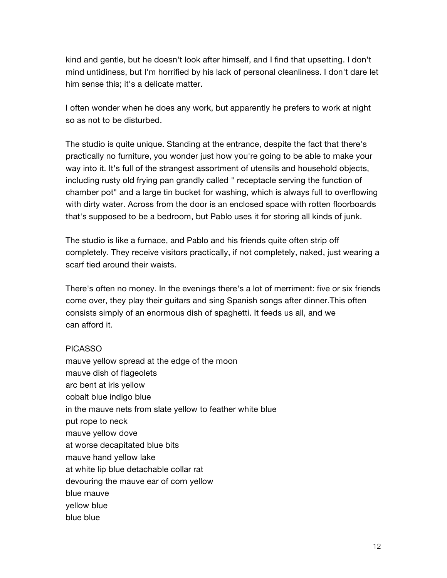kind and gentle, but he doesn't look after himself, and I find that upsetting. I don't mind untidiness, but I'm horrified by his lack of personal cleanliness. I don't dare let him sense this; it's a delicate matter.

I often wonder when he does any work, but apparently he prefers to work at night so as not to be disturbed.

The studio is quite unique. Standing at the entrance, despite the fact that there's practically no furniture, you wonder just how you're going to be able to make your way into it. It's full of the strangest assortment of utensils and household objects, including rusty old frying pan grandly called " receptacle serving the function of chamber pot" and a large tin bucket for washing, which is always full to overflowing with dirty water. Across from the door is an enclosed space with rotten floorboards that's supposed to be a bedroom, but Pablo uses it for storing all kinds of junk.

The studio is like a furnace, and Pablo and his friends quite often strip off completely. They receive visitors practically, if not completely, naked, just wearing a scarf tied around their waists.

There's often no money. In the evenings there's a lot of merriment: five or six friends come over, they play their guitars and sing Spanish songs after dinner.This often consists simply of an enormous dish of spaghetti. It feeds us all, and we can afford it.

#### PICASSO

mauve yellow spread at the edge of the moon mauve dish of flageolets arc bent at iris yellow cobalt blue indigo blue in the mauve nets from slate yellow to feather white blue put rope to neck mauve yellow dove at worse decapitated blue bits mauve hand yellow lake at white lip blue detachable collar rat devouring the mauve ear of corn yellow blue mauve yellow blue blue blue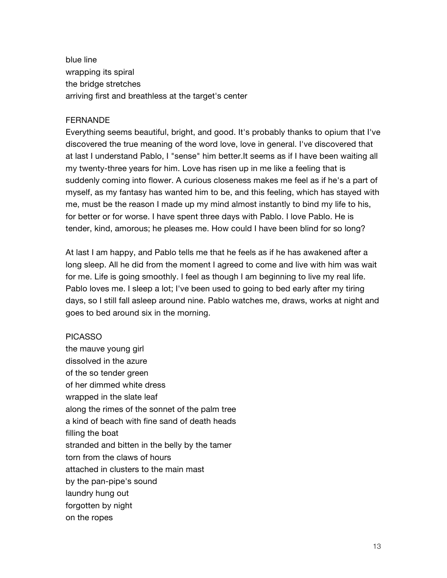blue line wrapping its spiral the bridge stretches arriving first and breathless at the target's center

#### FERNANDE

Everything seems beautiful, bright, and good. It's probably thanks to opium that I've discovered the true meaning of the word love, love in general. I've discovered that at last I understand Pablo, I "sense" him better.It seems as if I have been waiting all my twenty-three years for him. Love has risen up in me like a feeling that is suddenly coming into flower. A curious closeness makes me feel as if he's a part of myself, as my fantasy has wanted him to be, and this feeling, which has stayed with me, must be the reason I made up my mind almost instantly to bind my life to his, for better or for worse. I have spent three days with Pablo. I love Pablo. He is tender, kind, amorous; he pleases me. How could I have been blind for so long?

At last I am happy, and Pablo tells me that he feels as if he has awakened after a long sleep. All he did from the moment I agreed to come and live with him was wait for me. Life is going smoothly. I feel as though I am beginning to live my real life. Pablo loves me. I sleep a lot; I've been used to going to bed early after my tiring days, so I still fall asleep around nine. Pablo watches me, draws, works at night and goes to bed around six in the morning.

#### PICASSO

the mauve young girl dissolved in the azure of the so tender green of her dimmed white dress wrapped in the slate leaf along the rimes of the sonnet of the palm tree a kind of beach with fine sand of death heads filling the boat stranded and bitten in the belly by the tamer torn from the claws of hours attached in clusters to the main mast by the pan-pipe's sound laundry hung out forgotten by night on the ropes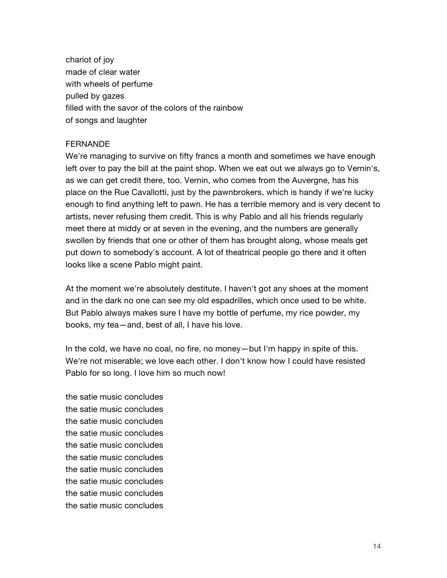chariot of joy made of clear water with wheels of perfume pulled by gazes filled with the savor of the colors of the rainbow of songs and laughter

#### **FERNANDE**

We're managing to survive on fifty francs a month and sometimes we have enough left over to pay the bill at the paint shop. When we eat out we always go to Vernin's, as we can get credit there, too. Vernin, who comes from the Auvergne, has his place on the Rue Cavallotti, just by the pawnbrokers, which is handy if we're lucky enough to find anything left to pawn. He has a terrible memory and is very decent to artists, never refusing them credit. This is why Pablo and all his friends regularly meet there at middy or at seven in the evening, and the numbers are generally swollen by friends that one or other of them has brought along, whose meals get put down to somebody's account. A lot of theatrical people go there and it often looks like a scene Pablo might paint.

At the moment we're absolutely destitute. I haven't got any shoes at the moment and in the dark no one can see my old espadrilles, which once used to be white. But Pablo always makes sure I have my bottle of perfume, my rice powder, my books, my tea—and, best of all, I have his love.

In the cold, we have no coal, no fire, no money—but I'm happy in spite of this. We're not miserable; we love each other. I don't know how I could have resisted Pablo for so long. I love him so much now!

the satie music concludes the satie music concludes the satie music concludes the satie music concludes the satie music concludes the satie music concludes the satie music concludes the satie music concludes the satie music concludes the satie music concludes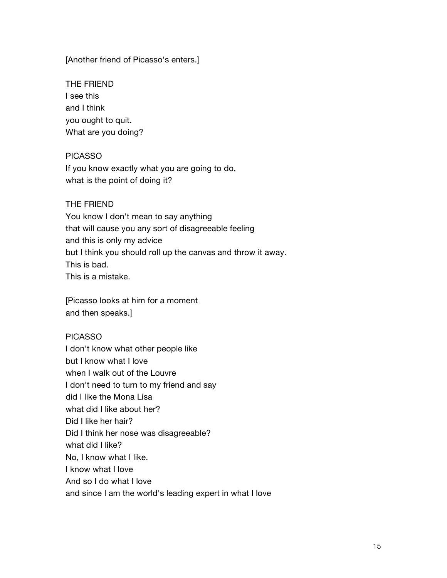[Another friend of Picasso's enters.]

THE FRIEND I see this and I think you ought to quit. What are you doing?

## PICASSO

If you know exactly what you are going to do, what is the point of doing it?

## THE FRIEND

You know I don't mean to say anything that will cause you any sort of disagreeable feeling and this is only my advice but I think you should roll up the canvas and throw it away. This is bad. This is a mistake.

[Picasso looks at him for a moment and then speaks.]

## PICASSO

I don't know what other people like but I know what I love when I walk out of the Louvre I don't need to turn to my friend and say did I like the Mona Lisa what did I like about her? Did I like her hair? Did I think her nose was disagreeable? what did I like? No, I know what I like. I know what I love And so I do what I love and since I am the world's leading expert in what I love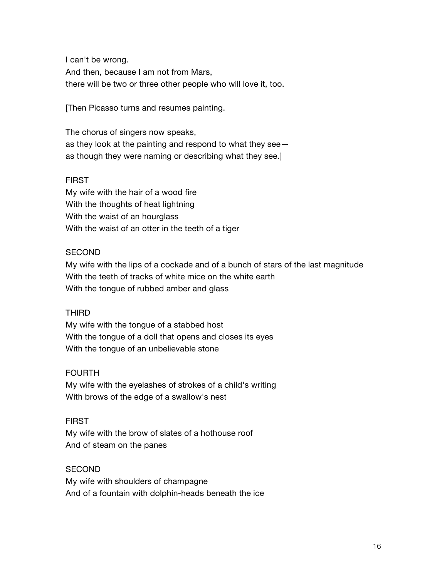I can't be wrong. And then, because I am not from Mars, there will be two or three other people who will love it, too.

[Then Picasso turns and resumes painting.

The chorus of singers now speaks, as they look at the painting and respond to what they see as though they were naming or describing what they see.]

## FIRST

My wife with the hair of a wood fire With the thoughts of heat lightning With the waist of an hourglass With the waist of an otter in the teeth of a tiger

## **SECOND**

My wife with the lips of a cockade and of a bunch of stars of the last magnitude With the teeth of tracks of white mice on the white earth With the tongue of rubbed amber and glass

## THIRD

My wife with the tongue of a stabbed host With the tongue of a doll that opens and closes its eyes With the tongue of an unbelievable stone

## FOURTH

My wife with the eyelashes of strokes of a child's writing With brows of the edge of a swallow's nest

#### FIRST

My wife with the brow of slates of a hothouse roof And of steam on the panes

## **SECOND**

My wife with shoulders of champagne And of a fountain with dolphin-heads beneath the ice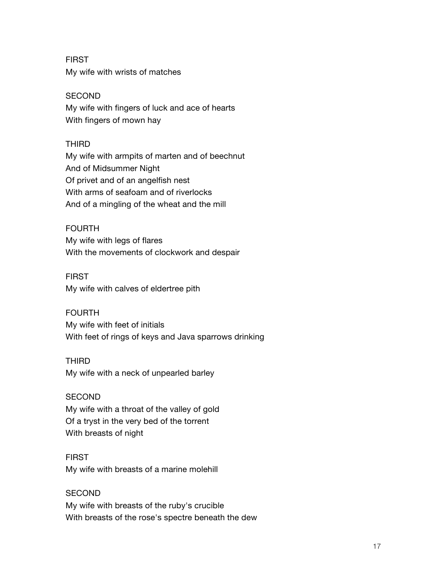FIRST My wife with wrists of matches

## **SECOND**

My wife with fingers of luck and ace of hearts With fingers of mown hay

# THIRD

My wife with armpits of marten and of beechnut And of Midsummer Night Of privet and of an angelfish nest With arms of seafoam and of riverlocks And of a mingling of the wheat and the mill

## FOURTH

My wife with legs of flares With the movements of clockwork and despair

## FIRST

My wife with calves of eldertree pith

## FOURTH

My wife with feet of initials With feet of rings of keys and Java sparrows drinking

## THIRD

My wife with a neck of unpearled barley

## **SECOND**

My wife with a throat of the valley of gold Of a tryst in the very bed of the torrent With breasts of night

#### FIRST

My wife with breasts of a marine molehill

## **SECOND**

My wife with breasts of the ruby's crucible With breasts of the rose's spectre beneath the dew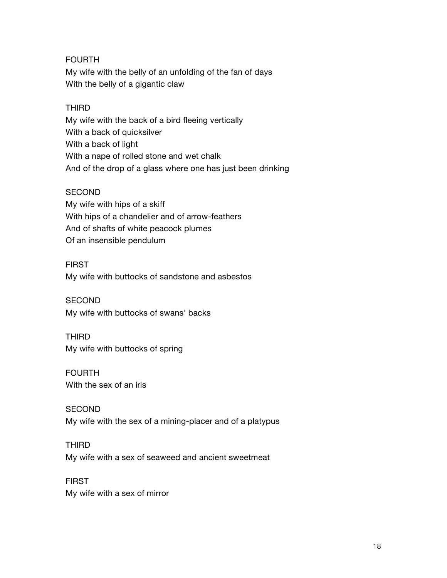# FOURTH

My wife with the belly of an unfolding of the fan of days With the belly of a gigantic claw

# THIRD

My wife with the back of a bird fleeing vertically With a back of quicksilver With a back of light With a nape of rolled stone and wet chalk And of the drop of a glass where one has just been drinking

## **SECOND**

My wife with hips of a skiff With hips of a chandelier and of arrow-feathers And of shafts of white peacock plumes Of an insensible pendulum

## FIRST

My wife with buttocks of sandstone and asbestos

# **SECOND**

My wife with buttocks of swans' backs

# THIRD

My wife with buttocks of spring

# FOURTH With the sex of an iris

**SECOND** My wife with the sex of a mining-placer and of a platypus

## THIRD

My wife with a sex of seaweed and ancient sweetmeat

## FIRST

My wife with a sex of mirror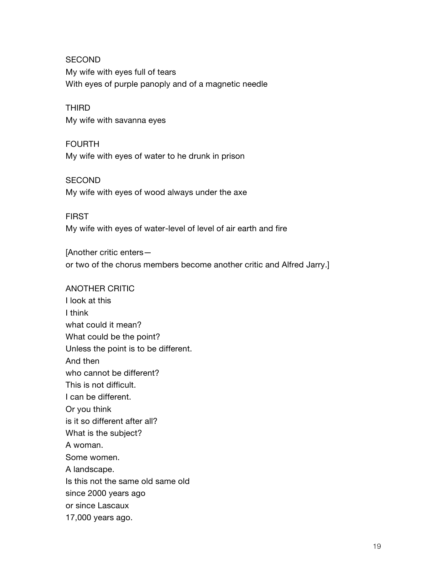**SECOND** My wife with eyes full of tears With eyes of purple panoply and of a magnetic needle

# THIRD

My wife with savanna eyes

#### FOURTH

My wife with eyes of water to he drunk in prison

## **SECOND**

My wife with eyes of wood always under the axe

#### FIRST

My wife with eyes of water-level of level of air earth and fire

[Another critic enters or two of the chorus members become another critic and Alfred Jarry.]

#### ANOTHER CRITIC

I look at this I think what could it mean? What could be the point? Unless the point is to be different. And then who cannot be different? This is not difficult. I can be different. Or you think is it so different after all? What is the subject? A woman. Some women. A landscape. Is this not the same old same old since 2000 years ago or since Lascaux 17,000 years ago.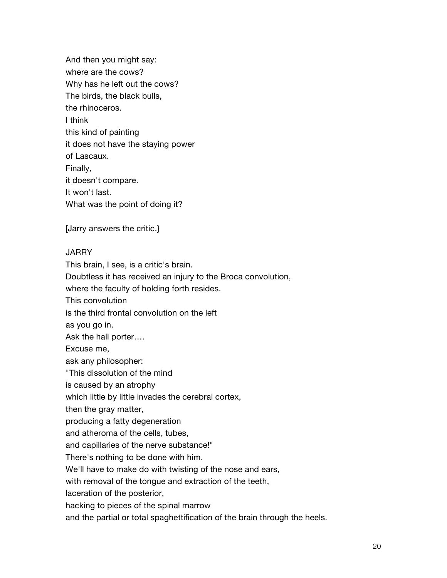And then you might say: where are the cows? Why has he left out the cows? The birds, the black bulls, the rhinoceros. I think this kind of painting it does not have the staying power of Lascaux. Finally, it doesn't compare. It won't last. What was the point of doing it?

[Jarry answers the critic.}

## **JARRY**

This brain, I see, is a critic's brain. Doubtless it has received an injury to the Broca convolution, where the faculty of holding forth resides. This convolution is the third frontal convolution on the left as you go in. Ask the hall porter…. Excuse me, ask any philosopher: "This dissolution of the mind is caused by an atrophy which little by little invades the cerebral cortex, then the gray matter, producing a fatty degeneration and atheroma of the cells, tubes, and capillaries of the nerve substance!" There's nothing to be done with him. We'll have to make do with twisting of the nose and ears, with removal of the tongue and extraction of the teeth, laceration of the posterior, hacking to pieces of the spinal marrow

and the partial or total spaghettification of the brain through the heels.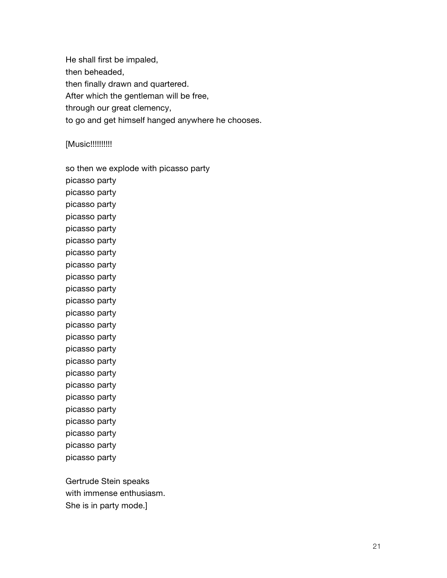He shall first be impaled, then beheaded, then finally drawn and quartered. After which the gentleman will be free, through our great clemency, to go and get himself hanged anywhere he chooses.

## [Music!!!!!!!!!!

| so then we explode with picasso party |
|---------------------------------------|
| picasso party                         |
| picasso party                         |
| picasso party                         |
| picasso party                         |
| picasso party                         |
| picasso party                         |
| picasso party                         |
| picasso party                         |
| picasso party                         |
| picasso party                         |
| picasso party                         |
| picasso party                         |
| picasso party                         |
| picasso party                         |
| picasso party                         |
| picasso party                         |
| picasso party                         |
| picasso party                         |
| picasso party                         |
| picasso party                         |
| picasso party                         |
| picasso party                         |
| picasso party                         |
| picasso party                         |
|                                       |

Gertrude Stein speaks with immense enthusiasm. She is in party mode.]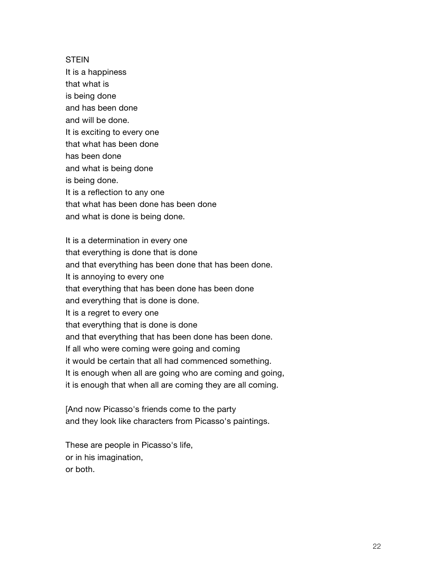#### **STEIN**

It is a happiness that what is is being done and has been done and will be done. It is exciting to every one that what has been done has been done and what is being done is being done. It is a reflection to any one that what has been done has been done and what is done is being done.

It is a determination in every one that everything is done that is done and that everything has been done that has been done. It is annoying to every one that everything that has been done has been done and everything that is done is done. It is a regret to every one that everything that is done is done and that everything that has been done has been done. If all who were coming were going and coming it would be certain that all had commenced something. It is enough when all are going who are coming and going, it is enough that when all are coming they are all coming.

[And now Picasso's friends come to the party and they look like characters from Picasso's paintings.

These are people in Picasso's life, or in his imagination, or both.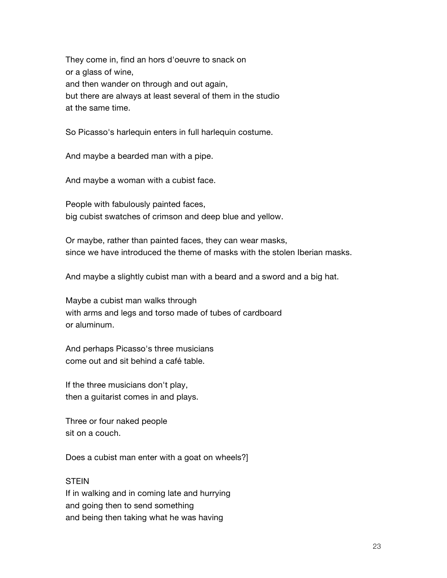They come in, find an hors d'oeuvre to snack on or a glass of wine, and then wander on through and out again, but there are always at least several of them in the studio at the same time.

So Picasso's harlequin enters in full harlequin costume.

And maybe a bearded man with a pipe.

And maybe a woman with a cubist face.

People with fabulously painted faces, big cubist swatches of crimson and deep blue and yellow.

Or maybe, rather than painted faces, they can wear masks, since we have introduced the theme of masks with the stolen Iberian masks.

And maybe a slightly cubist man with a beard and a sword and a big hat.

Maybe a cubist man walks through with arms and legs and torso made of tubes of cardboard or aluminum.

And perhaps Picasso's three musicians come out and sit behind a café table.

If the three musicians don't play, then a guitarist comes in and plays.

Three or four naked people sit on a couch.

Does a cubist man enter with a goat on wheels?]

#### **STEIN**

If in walking and in coming late and hurrying and going then to send something and being then taking what he was having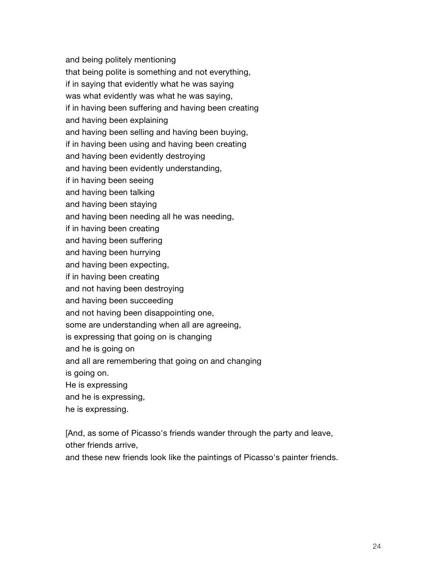and being politely mentioning that being polite is something and not everything, if in saying that evidently what he was saying was what evidently was what he was saying, if in having been suffering and having been creating and having been explaining and having been selling and having been buying, if in having been using and having been creating and having been evidently destroying and having been evidently understanding, if in having been seeing and having been talking and having been staying and having been needing all he was needing, if in having been creating and having been suffering and having been hurrying and having been expecting, if in having been creating and not having been destroying and having been succeeding and not having been disappointing one, some are understanding when all are agreeing, is expressing that going on is changing and he is going on and all are remembering that going on and changing is going on. He is expressing and he is expressing, he is expressing.

[And, as some of Picasso's friends wander through the party and leave, other friends arrive,

and these new friends look like the paintings of Picasso's painter friends.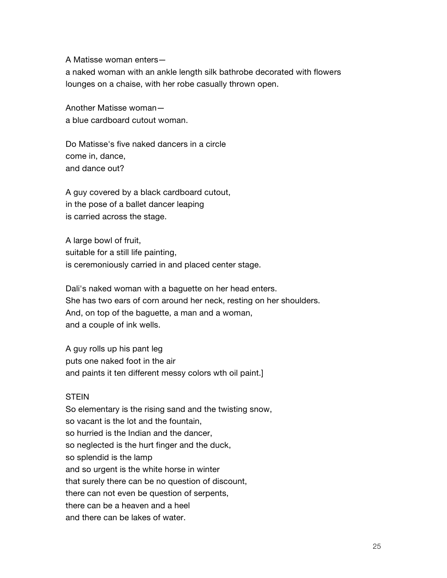A Matisse woman enters—

a naked woman with an ankle length silk bathrobe decorated with flowers lounges on a chaise, with her robe casually thrown open.

Another Matisse woman a blue cardboard cutout woman.

Do Matisse's five naked dancers in a circle come in, dance, and dance out?

A guy covered by a black cardboard cutout, in the pose of a ballet dancer leaping is carried across the stage.

A large bowl of fruit, suitable for a still life painting, is ceremoniously carried in and placed center stage.

Dali's naked woman with a baguette on her head enters. She has two ears of corn around her neck, resting on her shoulders. And, on top of the baguette, a man and a woman, and a couple of ink wells.

A guy rolls up his pant leg puts one naked foot in the air and paints it ten different messy colors wth oil paint.]

### STEIN

So elementary is the rising sand and the twisting snow, so vacant is the lot and the fountain, so hurried is the Indian and the dancer, so neglected is the hurt finger and the duck, so splendid is the lamp and so urgent is the white horse in winter that surely there can be no question of discount, there can not even be question of serpents, there can be a heaven and a heel and there can be lakes of water.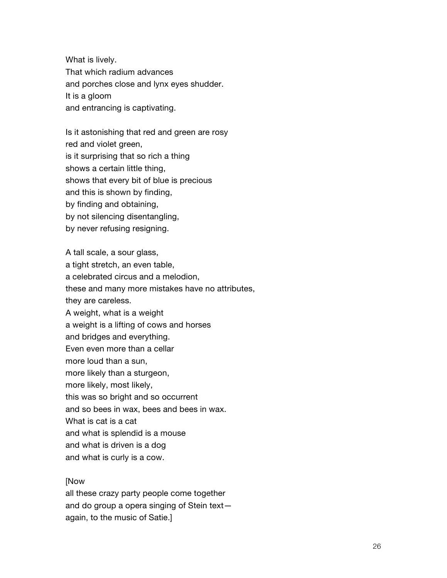What is lively. That which radium advances and porches close and lynx eyes shudder. It is a gloom and entrancing is captivating.

Is it astonishing that red and green are rosy red and violet green, is it surprising that so rich a thing shows a certain little thing, shows that every bit of blue is precious and this is shown by finding, by finding and obtaining, by not silencing disentangling, by never refusing resigning.

A tall scale, a sour glass, a tight stretch, an even table, a celebrated circus and a melodion, these and many more mistakes have no attributes, they are careless. A weight, what is a weight a weight is a lifting of cows and horses and bridges and everything. Even even more than a cellar more loud than a sun, more likely than a sturgeon, more likely, most likely, this was so bright and so occurrent and so bees in wax, bees and bees in wax. What is cat is a cat and what is splendid is a mouse and what is driven is a dog and what is curly is a cow.

#### [Now

all these crazy party people come together and do group a opera singing of Stein text again, to the music of Satie.]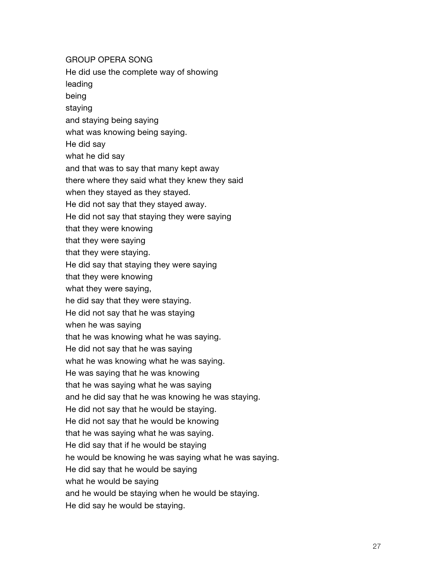GROUP OPERA SONG He did use the complete way of showing leading being staying and staying being saying what was knowing being saying. He did say what he did say and that was to say that many kept away there where they said what they knew they said when they stayed as they stayed. He did not say that they stayed away. He did not say that staying they were saying that they were knowing that they were saying that they were staying. He did say that staying they were saying that they were knowing what they were saying, he did say that they were staying. He did not say that he was staying when he was saying that he was knowing what he was saying. He did not say that he was saying what he was knowing what he was saying. He was saying that he was knowing that he was saying what he was saying and he did say that he was knowing he was staying. He did not say that he would be staying. He did not say that he would be knowing

that he was saying what he was saying.

He did say that if he would be staying

he would be knowing he was saying what he was saying.

He did say that he would be saying

what he would be saying

and he would be staying when he would be staying.

He did say he would be staying.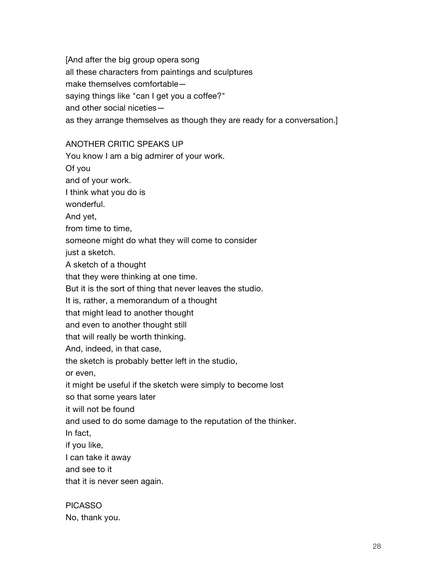[And after the big group opera song all these characters from paintings and sculptures make themselves comfortable saying things like "can I get you a coffee?" and other social niceties as they arrange themselves as though they are ready for a conversation.]

### ANOTHER CRITIC SPEAKS UP

You know I am a big admirer of your work.

Of you

and of your work.

I think what you do is

wonderful.

And yet,

from time to time,

someone might do what they will come to consider

just a sketch.

A sketch of a thought

that they were thinking at one time.

But it is the sort of thing that never leaves the studio.

It is, rather, a memorandum of a thought

that might lead to another thought

and even to another thought still

that will really be worth thinking.

And, indeed, in that case,

the sketch is probably better left in the studio,

or even,

it might be useful if the sketch were simply to become lost

so that some years later

it will not be found

and used to do some damage to the reputation of the thinker.

In fact,

if you like,

I can take it away

and see to it

that it is never seen again.

PICASSO No, thank you.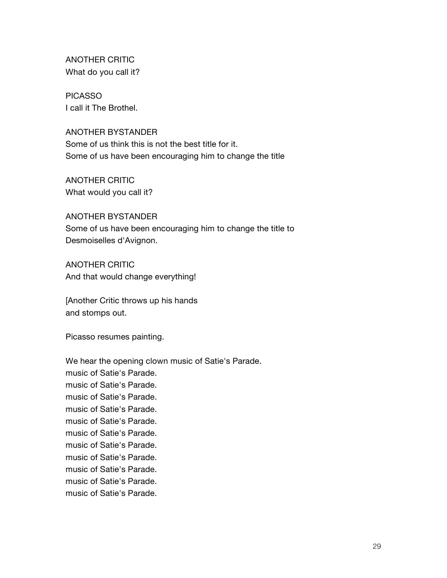ANOTHER CRITIC What do you call it?

PICASSO I call it The Brothel.

ANOTHER BYSTANDER Some of us think this is not the best title for it. Some of us have been encouraging him to change the title

ANOTHER CRITIC What would you call it?

ANOTHER BYSTANDER Some of us have been encouraging him to change the title to Desmoiselles d'Avignon.

ANOTHER CRITIC And that would change everything!

[Another Critic throws up his hands and stomps out.

Picasso resumes painting.

We hear the opening clown music of Satie's Parade. music of Satie's Parade. music of Satie's Parade. music of Satie's Parade. music of Satie's Parade. music of Satie's Parade. music of Satie's Parade. music of Satie's Parade. music of Satie's Parade. music of Satie's Parade. music of Satie's Parade. music of Satie's Parade.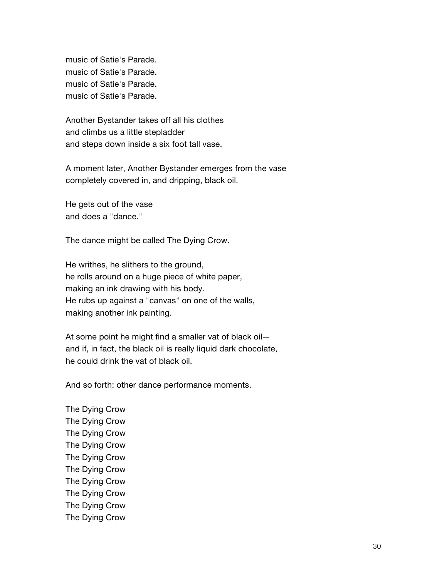music of Satie's Parade. music of Satie's Parade. music of Satie's Parade. music of Satie's Parade.

Another Bystander takes off all his clothes and climbs us a little stepladder and steps down inside a six foot tall vase.

A moment later, Another Bystander emerges from the vase completely covered in, and dripping, black oil.

He gets out of the vase and does a "dance."

The dance might be called The Dying Crow.

He writhes, he slithers to the ground, he rolls around on a huge piece of white paper, making an ink drawing with his body. He rubs up against a "canvas" on one of the walls, making another ink painting.

At some point he might find a smaller vat of black oil and if, in fact, the black oil is really liquid dark chocolate, he could drink the vat of black oil.

And so forth: other dance performance moments.

The Dying Crow The Dying Crow The Dying Crow The Dying Crow The Dying Crow The Dying Crow The Dying Crow The Dying Crow The Dying Crow The Dying Crow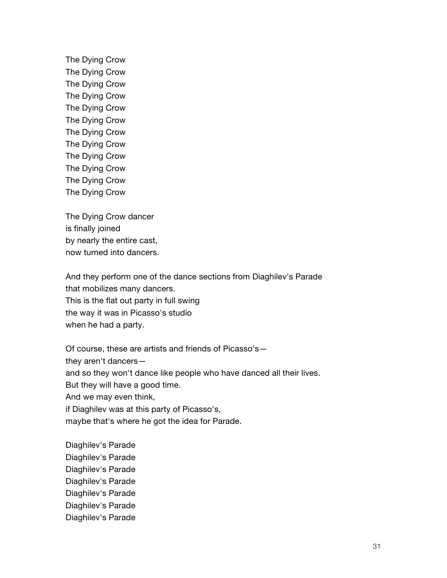The Dying Crow The Dying Crow The Dying Crow The Dying Crow The Dying Crow The Dying Crow The Dying Crow The Dying Crow The Dying Crow The Dying Crow The Dying Crow The Dying Crow

The Dying Crow dancer is finally joined by nearly the entire cast, now turned into dancers.

And they perform one of the dance sections from Diaghilev's Parade that mobilizes many dancers. This is the flat out party in full swing the way it was in Picasso's studio when he had a party.

Of course, these are artists and friends of Picasso's they aren't dancers and so they won't dance like people who have danced all their lives. But they will have a good time. And we may even think, if Diaghilev was at this party of Picasso's, maybe that's where he got the idea for Parade.

Diaghilev's Parade Diaghilev's Parade Diaghilev's Parade Diaghilev's Parade Diaghilev's Parade Diaghilev's Parade Diaghilev's Parade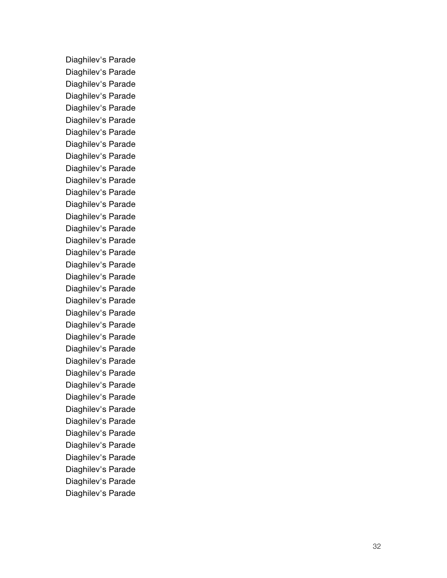Diaghilev's Parade Diaghilev's Parade Diaghilev's Parade Diaghilev's Parade Diaghilev's Parade Diaghilev's Parade Diaghilev's Parade Diaghilev's Parade Diaghilev's Parade Diaghilev's Parade Diaghilev's Parade Diaghilev's Parade Diaghilev's Parade Diaghilev's Parade Diaghilev's Parade Diaghilev's Parade Diaghilev's Parade Diaghilev's Parade Diaghilev's Parade Diaghilev's Parade Diaghilev's Parade Diaghilev's Parade Diaghilev's Parade Diaghilev's Parade Diaghilev's Parade Diaghilev's Parade Diaghilev's Parade Diaghilev's Parade Diaghilev's Parade Diaghilev's Parade Diaghilev's Parade Diaghilev's Parade Diaghilev's Parade Diaghilev's Parade Diaghilev's Parade Diaghilev's Parade Diaghilev's Parade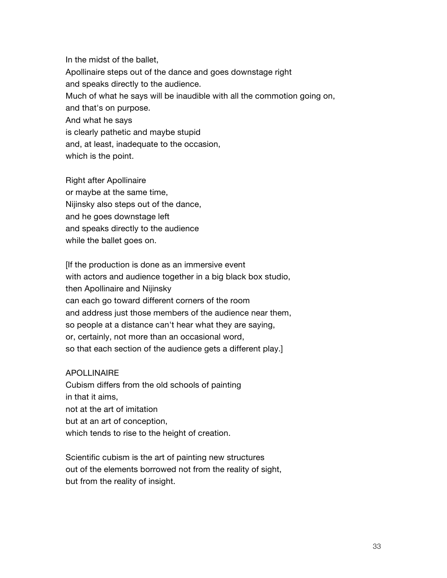In the midst of the ballet, Apollinaire steps out of the dance and goes downstage right and speaks directly to the audience. Much of what he says will be inaudible with all the commotion going on, and that's on purpose. And what he says is clearly pathetic and maybe stupid and, at least, inadequate to the occasion, which is the point.

Right after Apollinaire or maybe at the same time, Nijinsky also steps out of the dance, and he goes downstage left and speaks directly to the audience while the ballet goes on.

[If the production is done as an immersive event with actors and audience together in a big black box studio, then Apollinaire and Nijinsky can each go toward different corners of the room and address just those members of the audience near them, so people at a distance can't hear what they are saying, or, certainly, not more than an occasional word, so that each section of the audience gets a different play.]

#### APOLLINAIRE

Cubism differs from the old schools of painting in that it aims, not at the art of imitation but at an art of conception, which tends to rise to the height of creation.

Scientific cubism is the art of painting new structures out of the elements borrowed not from the reality of sight, but from the reality of insight.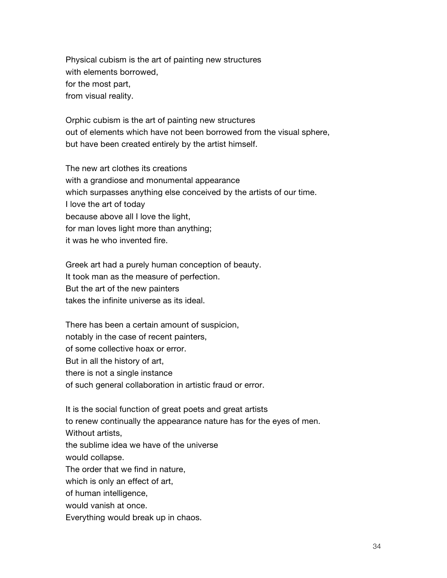Physical cubism is the art of painting new structures with elements borrowed, for the most part, from visual reality.

Orphic cubism is the art of painting new structures out of elements which have not been borrowed from the visual sphere, but have been created entirely by the artist himself.

The new art clothes its creations with a grandiose and monumental appearance which surpasses anything else conceived by the artists of our time. I love the art of today because above all I love the light, for man loves light more than anything; it was he who invented fire.

Greek art had a purely human conception of beauty. It took man as the measure of perfection. But the art of the new painters takes the infinite universe as its ideal.

There has been a certain amount of suspicion, notably in the case of recent painters, of some collective hoax or error. But in all the history of art, there is not a single instance of such general collaboration in artistic fraud or error.

It is the social function of great poets and great artists to renew continually the appearance nature has for the eyes of men. Without artists, the sublime idea we have of the universe would collapse. The order that we find in nature, which is only an effect of art, of human intelligence, would vanish at once. Everything would break up in chaos.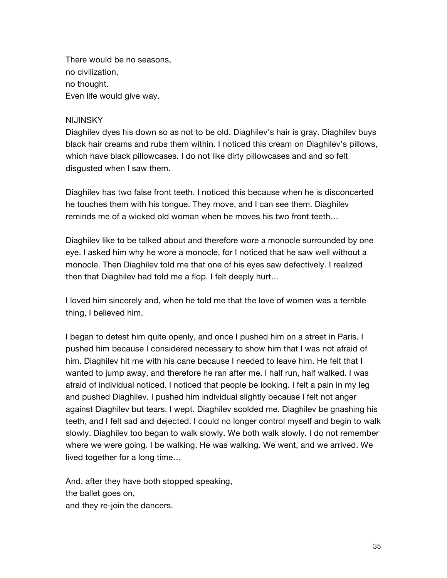There would be no seasons, no civilization, no thought. Even life would give way.

### **NIJINSKY**

Diaghilev dyes his down so as not to be old. Diaghilev's hair is gray. Diaghilev buys black hair creams and rubs them within. I noticed this cream on Diaghilev's pillows, which have black pillowcases. I do not like dirty pillowcases and and so felt disgusted when I saw them.

Diaghilev has two false front teeth. I noticed this because when he is disconcerted he touches them with his tongue. They move, and I can see them. Diaghilev reminds me of a wicked old woman when he moves his two front teeth…

Diaghilev like to be talked about and therefore wore a monocle surrounded by one eye. I asked him why he wore a monocle, for I noticed that he saw well without a monocle. Then Diaghilev told me that one of his eyes saw defectively. I realized then that Diaghilev had told me a flop. I felt deeply hurt…

I loved him sincerely and, when he told me that the love of women was a terrible thing, I believed him.

I began to detest him quite openly, and once I pushed him on a street in Paris. I pushed him because I considered necessary to show him that I was not afraid of him. Diaghilev hit me with his cane because I needed to leave him. He felt that I wanted to jump away, and therefore he ran after me. I half run, half walked. I was afraid of individual noticed. I noticed that people be looking. I felt a pain in my leg and pushed Diaghilev. I pushed him individual slightly because I felt not anger against Diaghilev but tears. I wept. Diaghilev scolded me. Diaghilev be gnashing his teeth, and I felt sad and dejected. I could no longer control myself and begin to walk slowly. Diaghilev too began to walk slowly. We both walk slowly. I do not remember where we were going. I be walking. He was walking. We went, and we arrived. We lived together for a long time…

And, after they have both stopped speaking, the ballet goes on, and they re-join the dancers.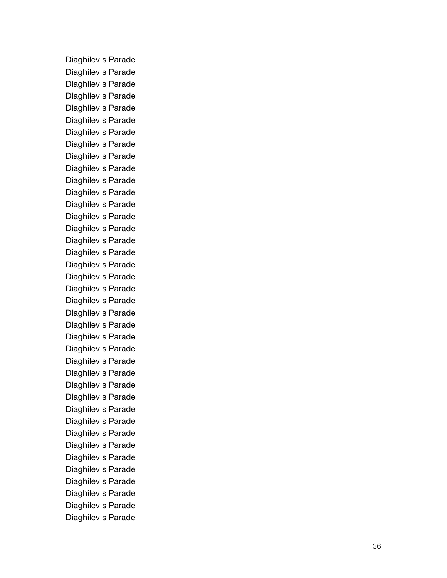Diaghilev's Parade Diaghilev's Parade Diaghilev's Parade Diaghilev's Parade Diaghilev's Parade Diaghilev's Parade Diaghilev's Parade Diaghilev's Parade Diaghilev's Parade Diaghilev's Parade Diaghilev's Parade Diaghilev's Parade Diaghilev's Parade Diaghilev's Parade Diaghilev's Parade Diaghilev's Parade Diaghilev's Parade Diaghilev's Parade Diaghilev's Parade Diaghilev's Parade Diaghilev's Parade Diaghilev's Parade Diaghilev's Parade Diaghilev's Parade Diaghilev's Parad e Diaghilev's Parade Diaghilev's Parade Diaghilev's Parade Diaghilev's Parade Diaghilev's Parade Diaghilev's Parade Diaghilev's Parade Diaghilev's Parade Diaghilev's Parade Diaghilev's Parade Diaghilev's Parade Diaghilev's Parade Diaghilev's Parade Diaghilev's Parade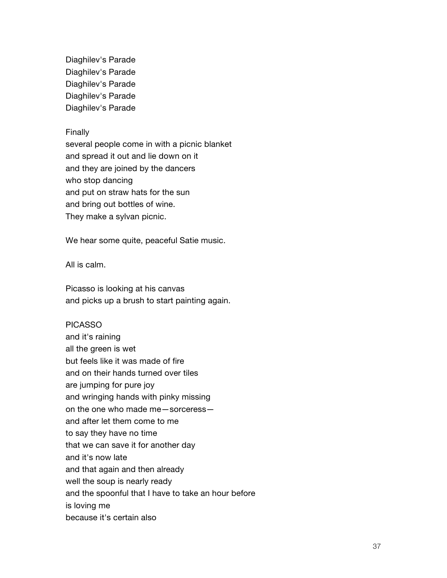Diaghilev's Parade Diaghilev's Parade Diaghilev's Parade Diaghilev's Parade Diaghilev's Parade

#### Finally

several people come in with a picnic blanket and spread it out and lie down on it and they are joined by the dancers who stop dancing and put on straw hats for the sun and bring out bottles of wine. They make a sylvan picnic.

We hear some quite, peaceful Satie music.

All is calm.

Picasso is looking at his canvas and picks up a brush to start painting again.

#### PICASSO

and it's raining all the green is wet but feels like it was made of fire and on their hands turned over tiles are jumping for pure joy and wringing hands with pinky missing on the one who made me—sorceress and after let them come to me to say they have no time that we can save it for another day and it's now late and that again and then already well the soup is nearly ready and the spoonful that I have to take an hour before is loving me because it's certain also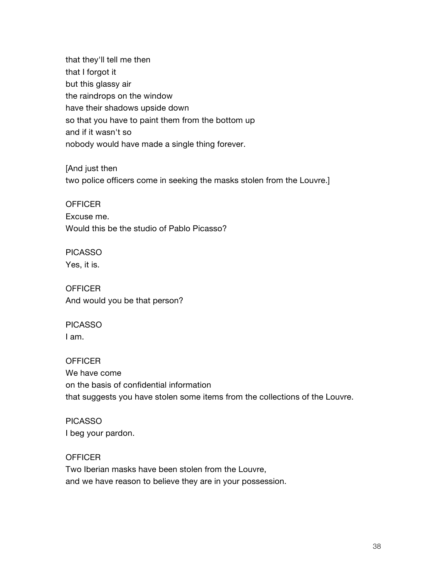that they'll tell me then that I forgot it but this glassy air the raindrops on the window have their shadows upside down so that you have to paint them from the bottom up and if it wasn't so nobody would have made a single thing forever.

[And just then two police officers come in seeking the masks stolen from the Louvre.]

**OFFICER** Excuse me. Would this be the studio of Pablo Picasso?

PICASSO Yes, it is.

**OFFICER** And would you be that person?

PICASSO I am.

**OFFICER** We have come on the basis of confidential information that suggests you have stolen some items from the collections of the Louvre.

PICASSO I beg your pardon.

**OFFICER** Two Iberian masks have been stolen from the Louvre, and we have reason to believe they are in your possession.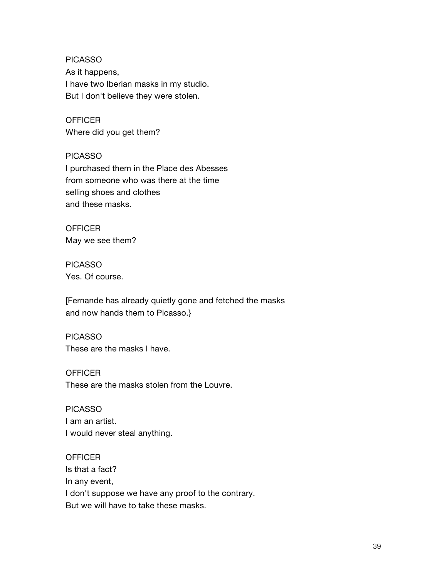PICASSO As it happens, I have two Iberian masks in my studio. But I don't believe they were stolen.

**OFFICER** Where did you get them?

PICASSO I purchased them in the Place des Abesses from someone who was there at the time selling shoes and clothes and these masks.

**OFFICER** May we see them?

PICASSO Yes. Of course.

[Fernande has already quietly gone and fetched the masks and now hands them to Picasso.}

PICASSO These are the masks I have.

**OFFICER** These are the masks stolen from the Louvre.

PICASSO I am an artist. I would never steal anything.

**OFFICER** Is that a fact? In any event, I don't suppose we have any proof to the contrary. But we will have to take these masks.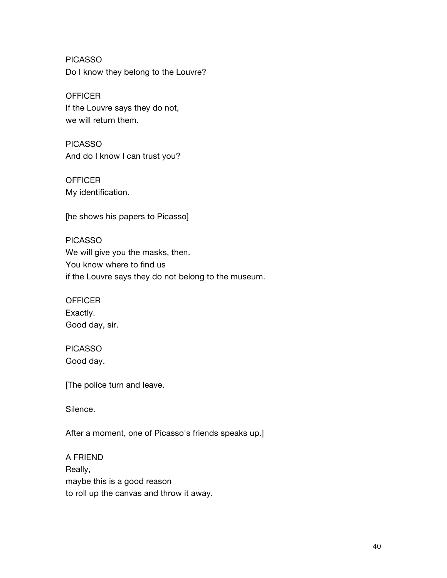PICASSO Do I know they belong to the Louvre?

**OFFICER** If the Louvre says they do not, we will return them.

PICASSO And do I know I can trust you?

**OFFICER** My identification.

[he shows his papers to Picasso]

PICASSO We will give you the masks, then. You know where to find us if the Louvre says they do not belong to the museum.

**OFFICER** Exactly. Good day, sir.

PICASSO Good day.

[The police turn and leave.

Silence.

After a moment, one of Picasso's friends speaks up.]

A FRIEND Really, maybe this is a good reason to roll up the canvas and throw it away.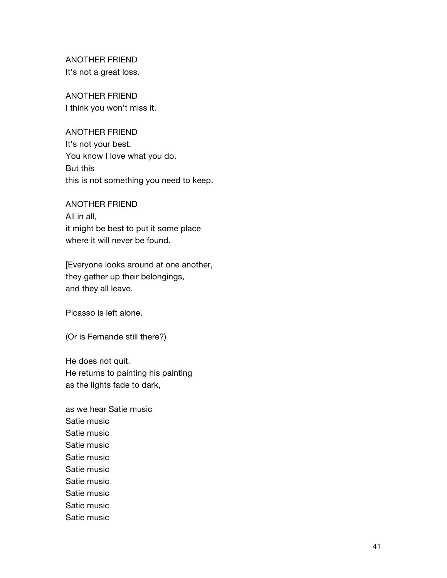ANOTHER FRIEND It's not a great loss.

ANOTHER FRIEND I think you won't miss it.

ANOTHER FRIEND It's not your best. You know I love what you do. But this this is not something you need to keep.

ANOTHER FRIEND All in all, it might be best to put it some place where it will never be found.

[Everyone looks around at one another, they gather up their belongings, and they all leave.

Picasso is left alone.

(Or is Fernande still there?)

He does not quit. He returns to painting his painting as the lights fade to dark,

as we hear Satie music Satie music Satie music Satie music Satie music Satie music Satie music Satie music Satie music Satie music